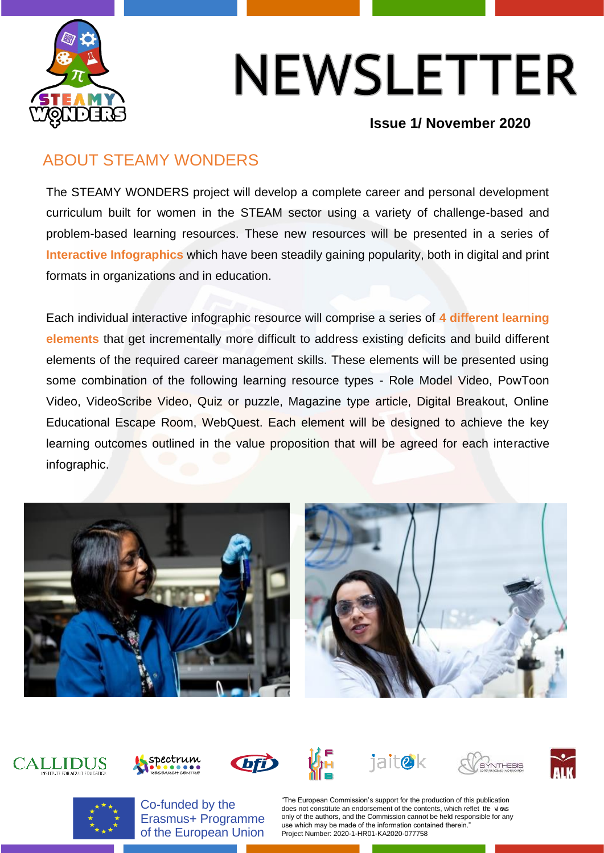

**Issue 1/ November 2020**

#### ABOUT STEAMY WONDERS

The STEAMY WONDERS project will develop a complete career and personal development curriculum built for women in the STEAM sector using a variety of challenge-based and problem-based learning resources. These new resources will be presented in a series of **Interactive Infographics** which have been steadily gaining popularity, both in digital and print formats in organizations and in education.

Each individual interactive infographic resource will comprise a series of **4 different learning elements** that get incrementally more difficult to address existing deficits and build different elements of the required career management skills. These elements will be presented using some combination of the following learning resource types - Role Model Video, PowToon Video, VideoScribe Video, Quiz or puzzle, Magazine type article, Digital Breakout, Online Educational Escape Room, WebQuest. Each element will be designed to achieve the key learning outcomes outlined in the value proposition that will be agreed for each interactive infographic.





### **CALLIDUS**















Co-funded by the Erasmus+ Programme of the European Union

"The European Commission's support for the production of this publication does not constitute an endorsement of the contents, which reflet the vi ews only of the authors, and the Commission cannot be held responsible for any use which may be made of the information contained therein." Project Number: 2020-1-HR01-KA2020-077758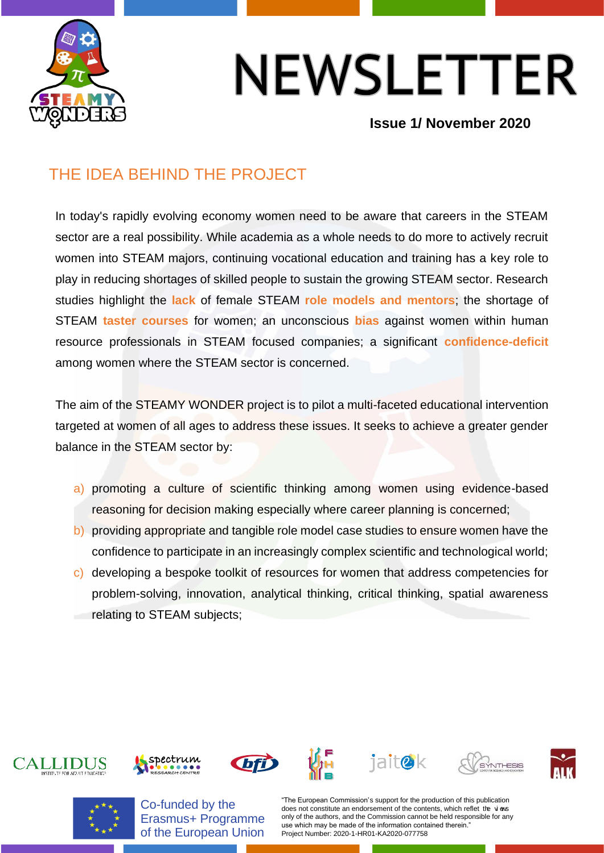

#### **Issue 1/ November 2020**

### THE IDEA BEHIND THE PROJECT

In today's rapidly evolving economy women need to be aware that careers in the STEAM sector are a real possibility. While academia as a whole needs to do more to actively recruit women into STEAM majors, continuing vocational education and training has a key role to play in reducing shortages of skilled people to sustain the growing STEAM sector. Research studies highlight the **lack** of female STEAM **role models and mentors**; the shortage of STEAM **taster courses** for women; an unconscious **bias** against women within human resource professionals in STEAM focused companies; a significant **confidence-deficit** among women where the STEAM sector is concerned.

The aim of the STEAMY WONDER project is to pilot a multi-faceted educational intervention targeted at women of all ages to address these issues. It seeks to achieve a greater gender balance in the STEAM sector by:

- a) promoting a culture of scientific thinking among women using evidence-based reasoning for decision making especially where career planning is concerned;
- b) providing appropriate and tangible role model case studies to ensure women have the confidence to participate in an increasingly complex scientific and technological world;
- c) developing a bespoke toolkit of resources for women that address competencies for problem-solving, innovation, analytical thinking, critical thinking, spatial awareness relating to STEAM subjects;

















Co-funded by the Erasmus+ Programme of the European Union

"The European Commission's support for the production of this publication does not constitute an endorsement of the contents, which reflet the vi ews only of the authors, and the Commission cannot be held responsible for any use which may be made of the information contained therein. Project Number: 2020-1-HR01-KA2020-077758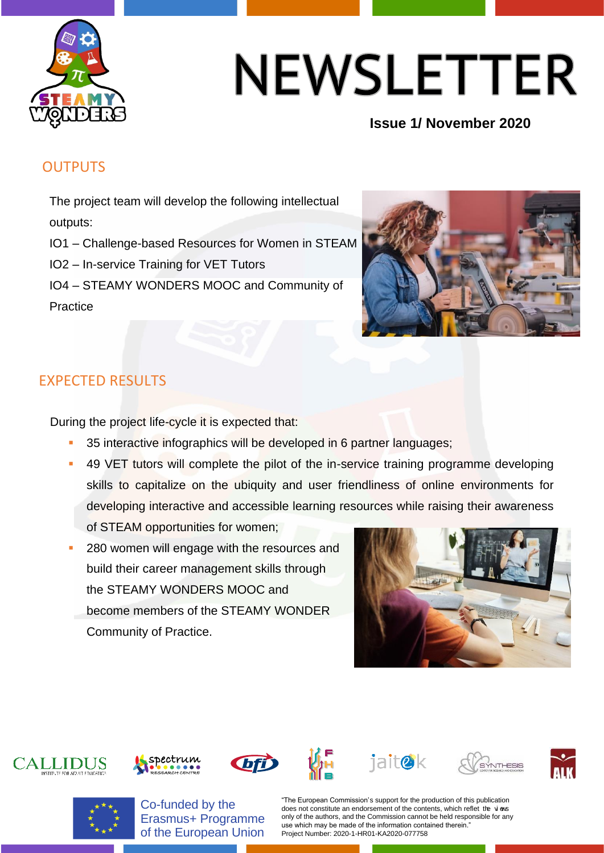

#### **Issue 1/ November 2020**

#### **OUTPUTS**

The project team will develop the following intellectual outputs:

IO1 – Challenge-based Resources for Women in STEAM

IO2 – In-service Training for VET Tutors

IO4 – STEAMY WONDERS MOOC and Community of





#### EXPECTED RESULTS

During the project life-cycle it is expected that:

- 35 interactive infographics will be developed in 6 partner languages;
- 49 VET tutors will complete the pilot of the in-service training programme developing skills to capitalize on the ubiquity and user friendliness of online environments for developing interactive and accessible learning resources while raising their awareness of STEAM opportunities for women;
- 280 women will engage with the resources and build their career management skills through the STEAMY WONDERS MOOC and
- become members of the STEAMY WONDER Community of Practice.



















Co-funded by the Erasmus+ Programme of the European Union

"The European Commission's support for the production of this publication does not constitute an endorsement of the contents, which reflet the vi ews only of the authors, and the Commission cannot be held responsible for any use which may be made of the information contained therein. Project Number: 2020-1-HR01-KA2020-077758